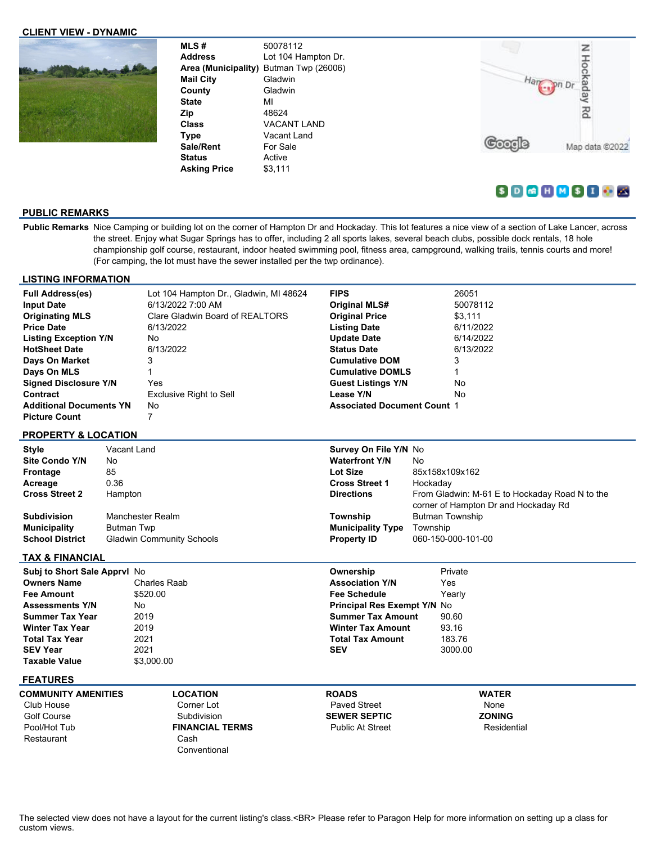### **CLIENT VIEW - DYNAMIC**



**MLS #** 50078112 **Address** Lot 104 Hampton Dr. **Area (Municipality)** Butman Twp (26006) **Mail City** Gladwin **County** Gladwin **State** MI **Zip** 48624 **Class** VACANT LAND **Type** Vacant Land Sale/Rent For Sale **Status** Active **Asking Price** \$3,111



# $S$  D  $R$  H  $M$  S I  $\odot$   $K$

## **PUBLIC REMARKS**

**Public Remarks** Nice Camping or building lot on the corner of Hampton Dr and Hockaday. This lot features a nice view of a section of Lake Lancer, across the street. Enjoy what Sugar Springs has to offer, including 2 all sports lakes, several beach clubs, possible dock rentals, 18 hole championship golf course, restaurant, indoor heated swimming pool, fitness area, campground, walking trails, tennis courts and more! (For camping, the lot must have the sewer installed per the twp ordinance).

#### **LISTING INFORMATION**

| <b>Full Address(es)</b>        | Lot 104 Hampton Dr., Gladwin, MI 48624 | <b>FIPS</b>                        | 26051     |
|--------------------------------|----------------------------------------|------------------------------------|-----------|
| <b>Input Date</b>              | 6/13/2022 7:00 AM                      | <b>Original MLS#</b>               | 50078112  |
| <b>Originating MLS</b>         | Clare Gladwin Board of REALTORS        | <b>Original Price</b>              | \$3.111   |
| <b>Price Date</b>              | 6/13/2022                              | <b>Listing Date</b>                | 6/11/2022 |
| <b>Listing Exception Y/N</b>   | No                                     | <b>Update Date</b>                 | 6/14/2022 |
| <b>HotSheet Date</b>           | 6/13/2022                              | <b>Status Date</b>                 | 6/13/2022 |
| Days On Market                 | 3                                      | <b>Cumulative DOM</b>              | 3         |
| Days On MLS                    |                                        | <b>Cumulative DOMLS</b>            |           |
| <b>Signed Disclosure Y/N</b>   | Yes                                    | <b>Guest Listings Y/N</b>          | No        |
| Contract                       | Exclusive Right to Sell                | Lease Y/N                          | No        |
| <b>Additional Documents YN</b> | No                                     | <b>Associated Document Count 1</b> |           |
| <b>Picture Count</b>           |                                        |                                    |           |

#### **PROPERTY & LOCATION**

| Style                  | Vacant Land                      | Survey On File Y/N No    |                                                                                        |
|------------------------|----------------------------------|--------------------------|----------------------------------------------------------------------------------------|
| <b>Site Condo Y/N</b>  | No                               | <b>Waterfront Y/N</b>    | No                                                                                     |
| Frontage               | 85                               | Lot Size                 | 85x158x109x162                                                                         |
| Acreage                | 0.36                             | <b>Cross Street 1</b>    | Hockaday                                                                               |
| <b>Cross Street 2</b>  | <b>Hampton</b>                   | <b>Directions</b>        | From Gladwin: M-61 E to Hockaday Road N to the<br>corner of Hampton Dr and Hockaday Rd |
| <b>Subdivision</b>     | Manchester Realm                 | Township                 | Butman Township                                                                        |
| <b>Municipality</b>    | Butman Twp                       | <b>Municipality Type</b> | Township                                                                               |
| <b>School District</b> | <b>Gladwin Community Schools</b> | <b>Property ID</b>       | 060-150-000-101-00                                                                     |

## **TAX & FINANCIAL**

| <b>Subj to Short Sale Apprvl No.</b> |              | Ownership                          | Private |
|--------------------------------------|--------------|------------------------------------|---------|
| <b>Owners Name</b>                   | Charles Raab | <b>Association Y/N</b>             | Yes     |
| <b>Fee Amount</b>                    | \$520.00     | <b>Fee Schedule</b>                | Yearlv  |
| <b>Assessments Y/N</b>               | No           | <b>Principal Res Exempt Y/N No</b> |         |
| <b>Summer Tax Year</b>               | 2019         | <b>Summer Tax Amount</b>           | 90.60   |
| <b>Winter Tax Year</b>               | 2019         | <b>Winter Tax Amount</b>           | 93.16   |
| <b>Total Tax Year</b>                | 2021         | <b>Total Tax Amount</b>            | 183.76  |
| <b>SEV Year</b>                      | 2021         | <b>SEV</b>                         | 3000.00 |
| <b>Taxable Value</b>                 | \$3,000.00   |                                    |         |
| ___ _ _ _ _ _ _                      |              |                                    |         |

#### **FEATURES**

**COMMUNITY AMENITIES** Club House Golf Course Pool/Hot Tub Restaurant

**LOCATION** Corner Lot Subdivision **FINANCIAL TERMS** Cash **Conventional** 

**ROADS** Paved Street **SEWER SEPTIC** Public At Street **WATER** None **ZONING** Residential

The selected view does not have a layout for the current listing's class.<BR> Please refer to Paragon Help for more information on setting up a class for custom views.